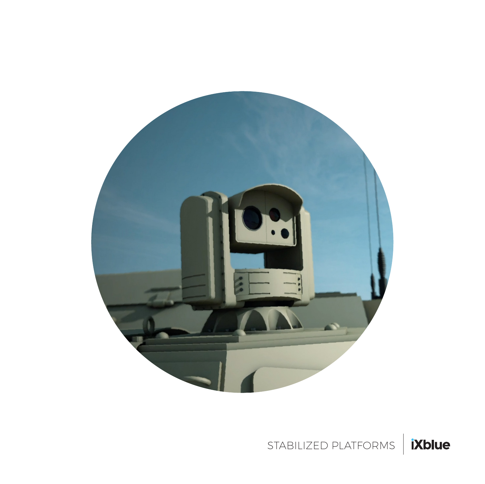

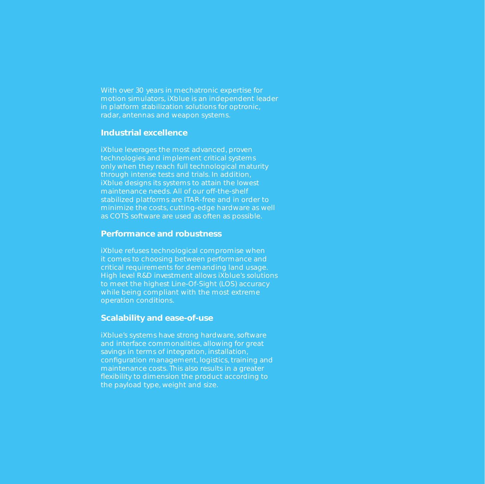With over 30 years in mechatronic expertise for motion simulators, iXblue is an independent leader in platform stabilization solutions for optronic, radar, antennas and weapon systems.

#### **Industrial excellence**

iXblue leverages the most advanced, proven technologies and implement critical systems only when they reach full technological maturity through intense tests and trials. In addition, iXblue designs its systems to attain the lowest maintenance needs. All of our off-the-shelf stabilized platforms are ITAR-free and in order to minimize the costs, cutting-edge hardware as well as COTS software are used as often as possible.

#### **Performance and robustness**

iXblue refuses technological compromise when it comes to choosing between performance and critical requirements for demanding land usage. High level R&D investment allows iXblue's solutions to meet the highest Line-Of-Sight (LOS) accuracy while being compliant with the most extreme operation conditions.

#### **Scalability and ease-of-use**

iXblue's systems have strong hardware, software and interface commonalities, allowing for great savings in terms of integration, installation, configuration management, logistics, training and maintenance costs. This also results in a greater flexibility to dimension the product according to the payload type, weight and size.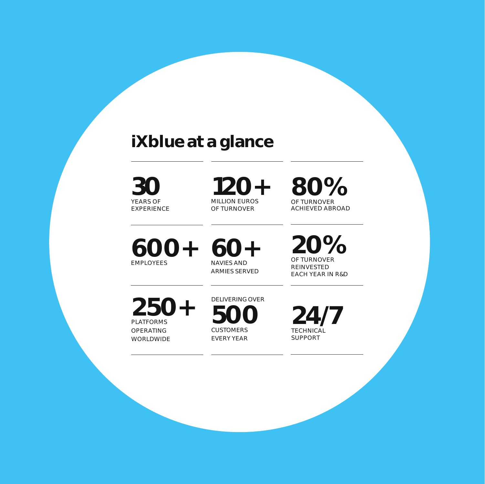## **iXblue at a glance**

YEARS OF EXPERIENCE **30**

**120+** MILLION EUROS OF TURNOVER

**80%**  OF TURNOVER ACHIEVED ABROAD

**600+** EMPLOYEES

**60+** ARMIES SERVED

**20%** OF TURNOVER REINVESTED EACH YEAR IN R&D

**250+** PLATFORMS OPERATING WORLDWIDE

DELIVERING OVER **500**  CUSTOMERS EVERY YEAR

**24/7 TECHNICAL** SUPPORT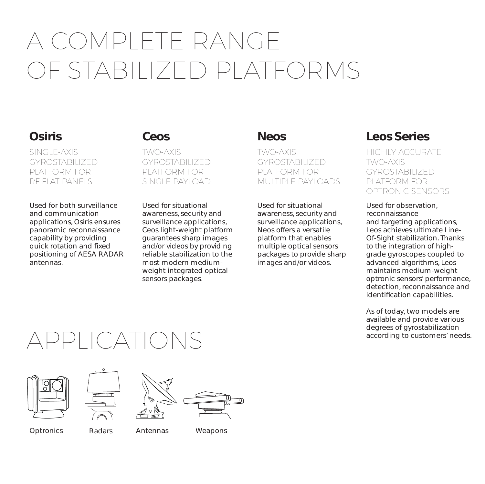# A COMPLETE RANGE OF STABILIZED PI ATFORMS

### **Osiris**

SINGLE-AXIS GYROSTABILIZED PLATFORM FOR RF FLAT PANELS

Used for both surveillance and communication applications, Osiris ensures panoramic reconnaissance capability by providing quick rotation and fixed positioning of AESA RADAR antennas.

#### **Ceos**

TWO-AXIS GYROSTABILIZED PLATFORM FOR SINGLE PAYLOAD

Used for situational awareness, security and surveillance applications, Ceos light-weight platform guarantees sharp images and/or videos by providing reliable stabilization to the most modern mediumweight integrated optical sensors packages.

### **Neos**

TWO-AXIS GYROSTABILIZED PLATFORM FOR MULTIPLE PAYLOADS

Used for situational awareness, security and surveillance applications, Neos offers a versatile platform that enables multiple optical sensors packages to provide sharp images and/or videos.

### **Leos Series**

HIGHLY ACCURATE TWO-AXIS GYROSTABILIZED PLATFORM FOR OPTRONIC SENSORS

Used for observation, reconnaissance and targeting applications, Leos achieves ultimate Line-Of-Sight stabilization. Thanks to the integration of highgrade gyroscopes coupled to advanced algorithms, Leos maintains medium-weight optronic sensors' performance, detection, reconnaissance and identification capabilities.

As of today, two models are available and provide various degrees of gyrostabilization according to customers' needs.

## APPLICATIONS









Optronics Radars Antennas Weapons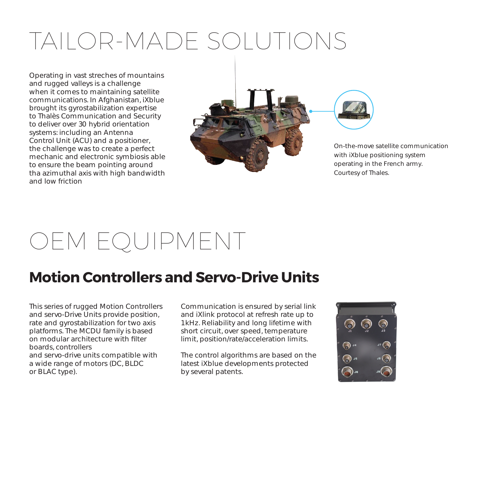# TAILOR-MADE SOLUTIONS

Operating in vast streches of mountains and rugged valleys is a challenge when it comes to maintaining satellite communications. In Afghanistan, iXblue brought its gyrostabilization expertise to Thalès Communication and Security to deliver over 30 hybrid orientation systems: including an Antenna Control Unit (ACU) and a positioner, the challenge was to create a perfect mechanic and electronic symbiosis able to ensure the beam pointing around tha azimuthal axis with high bandwidth and low friction





On-the-move satellite communication with iXblue positioning system operating in the French army. Courtesy of Thales.

## OEM EQUIPMENT

## **Motion Controllers and Servo-Drive Units**

This series of rugged Motion Controllers and servo-Drive Units provide position, rate and gyrostabilization for two axis platforms. The MCDU family is based on modular architecture with filter boards, controllers and servo-drive units compatible with a wide range of motors (DC, BLDC or BLAC type).

Communication is ensured by serial link and iXlink protocol at refresh rate up to 1 kHz. Reliability and long lifetime with short circuit, over speed, temperature limit, position/rate/acceleration limits.

The control algorithms are based on the latest iXblue developments protected by several patents.